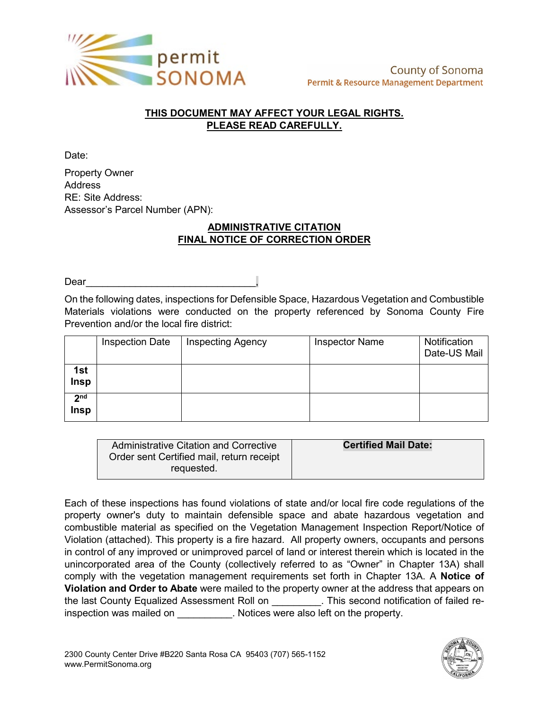

## **THIS DOCUMENT MAY AFFECT YOUR LEGAL RIGHTS. PLEASE READ CAREFULLY.**

Date:

Property Owner Address RE: Site Address: Assessor's Parcel Number (APN):

## **ADMINISTRATIVE CITATION FINAL NOTICE OF CORRECTION ORDER**

Dear

On the following dates, inspections for Defensible Space, Hazardous Vegetation and Combustible Materials violations were conducted on the property referenced by Sonoma County Fire Prevention and/or the local fire district:

|                                | <b>Inspection Date</b> | <b>Inspecting Agency</b> | <b>Inspector Name</b> | Notification<br>Date-US Mail |
|--------------------------------|------------------------|--------------------------|-----------------------|------------------------------|
| 1st<br>Insp                    |                        |                          |                       |                              |
| 2 <sub>nd</sub><br><b>Insp</b> |                        |                          |                       |                              |

| Administrative Citation and Corrective    | <b>Certified Mail Date:</b> |
|-------------------------------------------|-----------------------------|
| Order sent Certified mail, return receipt |                             |
| requested.                                |                             |

Each of these inspections has found violations of state and/or local fire code regulations of the property owner's duty to maintain defensible space and abate hazardous vegetation and combustible material as specified on the Vegetation Management Inspection Report/Notice of Violation (attached). This property is a fire hazard. All property owners, occupants and persons in control of any improved or unimproved parcel of land or interest therein which is located in the unincorporated area of the County (collectively referred to as "Owner" in Chapter 13A) shall comply with the vegetation management requirements set forth in Chapter 13A. A **Notice of Violation and Order to Abate** were mailed to the property owner at the address that appears on the last County Equalized Assessment Roll on \_\_\_\_\_\_\_\_\_. This second notification of failed reinspection was mailed on \_\_\_\_\_\_\_\_\_\_. Notices were also left on the property.